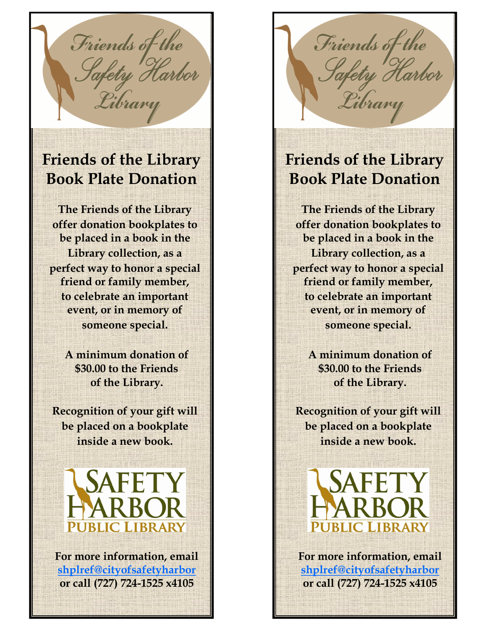Friends of the<br>Safety Harbor Library

## **Friends of the Library Book Plate Donation**

**The Friends of the Library offer donation bookplates to be placed in a book in the Library collection, as a perfect way to honor a special friend or family member, to celebrate an important event, or in memory of someone special.** 

> **A minimum donation of \$30.00 to the Friends of the Library.**

**Recognition of your gift will be placed on a bookplate inside a new book.**



**For more information, email [shplref@cityofsafetyharbor](mailto:shplref@pplc.us) or call (727) 724-1525 x4105**

Friends of the<br>Safety Harbor Library

## **Friends of the Library Book Plate Donation**

**The Friends of the Library offer donation bookplates to be placed in a book in the Library collection, as a perfect way to honor a special friend or family member, to celebrate an important event, or in memory of someone special.** 

> **A minimum donation of \$30.00 to the Friends of the Library.**

**Recognition of your gift will be placed on a bookplate inside a new book.**



**For more information, email [shplref@cityofsafetyharbor](mailto:shplref@pplc.us) or call (727) 724-1525 x4105**